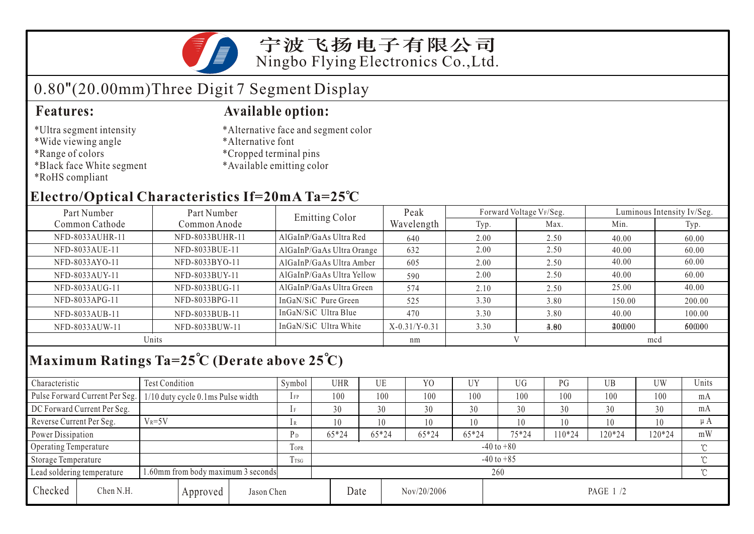

# 0.80"(20.00mm)Three Digit 7 Segment Display

- \*Ultra segment intensity
- \*Wide viewing angle
- \*Range of colors
- \*Black face White segment
- \*RoHS compliant

### **Features: Available option:**

- \*Alternative face and segment color
- \*Alternative font
- \*Cropped terminal pins
- \*Available emitting color

### **Electro/Optical Characteristics If=20mA Ta=25 C**

| Part Number     | Part Number     | <b>Emitting Color</b>     | Peak            |      | Forward Voltage VF/Seg. | Luminous Intensity Iv/Seg. |        |  |
|-----------------|-----------------|---------------------------|-----------------|------|-------------------------|----------------------------|--------|--|
| Common Cathode  | Common Anode    |                           | Wavelength      | Typ. | Max.                    | Min.                       | Typ.   |  |
| NFD-8033AUHR-11 | NFD-8033BUHR-11 | AlGaInP/GaAs Ultra Red    | 640             | 2.00 | 2.50                    | 40.00                      | 60.00  |  |
| NFD-8033AUE-11  | NFD-8033BUE-11  | AlGaInP/GaAs Ultra Orange | 632             | 2.00 | 2.50                    | 40.00                      | 60.00  |  |
| NFD-8033AYO-11  | NFD-8033BYO-11  | AlGaInP/GaAs Ultra Amber  | 605             | 2.00 | 2.50                    | 40.00                      | 60.00  |  |
| NFD-8033AUY-11  | NFD-8033BUY-11  | AlGaInP/GaAs Ultra Yellow | 590             | 2.00 | 2.50                    | 40.00                      | 60.00  |  |
| NFD-8033AUG-11  | NFD-8033BUG-11  | AlGaInP/GaAs Ultra Green  | 574             | 2.10 | 2.50                    | 25.00                      | 40.00  |  |
| NFD-8033APG-11  | NFD-8033BPG-11  | InGaN/SiC Pure Green      | 525             | 3.30 | 3.80                    | 150.00                     | 200.00 |  |
| NFD-8033AUB-11  | NFD-8033BUB-11  | InGaN/SiC Ultra Blue      | 470             | 3.30 | 3.80                    | 40.00                      | 100.00 |  |
| NFD-8033AUW-11  | NFD-8033BUW-11  | InGaN/SiC Ultra White     | $X-0.31/Y-0.31$ | 3.30 | 4.00                    | 400000                     | 600000 |  |
| Units           |                 |                           | nm              |      |                         | mcd                        |        |  |

## **Maximum Ratings Ta=25 C (Derate above 25 C)**

| Characteristic                                                   |                                | <b>Test Condition</b>             |          |                | Symbol         | UHR   |         | UE          | Y <sub>O</sub> | UY    | UG        | PG     | UB       | UW  | Units |
|------------------------------------------------------------------|--------------------------------|-----------------------------------|----------|----------------|----------------|-------|---------|-------------|----------------|-------|-----------|--------|----------|-----|-------|
|                                                                  | Pulse Forward Current Per Seg. | 1/10 duty cycle 0.1ms Pulse width |          |                | $1$ FP         | 100   |         | 100         | 100            | 100   | 100       | 100    | 100      | 100 | mA    |
|                                                                  | DC Forward Current Per Seg.    |                                   |          |                | 1 F            | 30    |         | 30          | 30             | 30    | 30        | 30     | 30       | 30  | mA    |
| Reverse Current Per Seg.                                         |                                | $V_R = 5V$                        |          |                | 1 R            | 10    |         | 10          | 10             | 10    | 10        | 10     | 10       | 10  | μA    |
| Power Dissipation                                                |                                |                                   | $P_D$    | $65*24$        |                | 65*24 | $65*24$ | 65*24       | $75*24$        | 10*24 | 120*24    | 120*24 | mW       |     |       |
| <b>Operating Temperature</b>                                     |                                |                                   |          | <b>TOPR</b>    | $-40$ to $+80$ |       |         |             |                |       |           |        |          | ొ   |       |
| Storage Temperature                                              |                                |                                   | Trsg     | $-40$ to $+85$ |                |       |         |             |                |       |           |        | $\gamma$ |     |       |
| 1.60mm from body maximum 3 seconds<br>Lead soldering temperature |                                |                                   |          |                | 260            |       |         |             |                |       |           |        |          |     |       |
| Checked                                                          | Chen N.H.                      |                                   | Approved | Jason Chen     |                |       | Date    | Nov/20/2006 |                |       | PAGE 1 /2 |        |          |     |       |